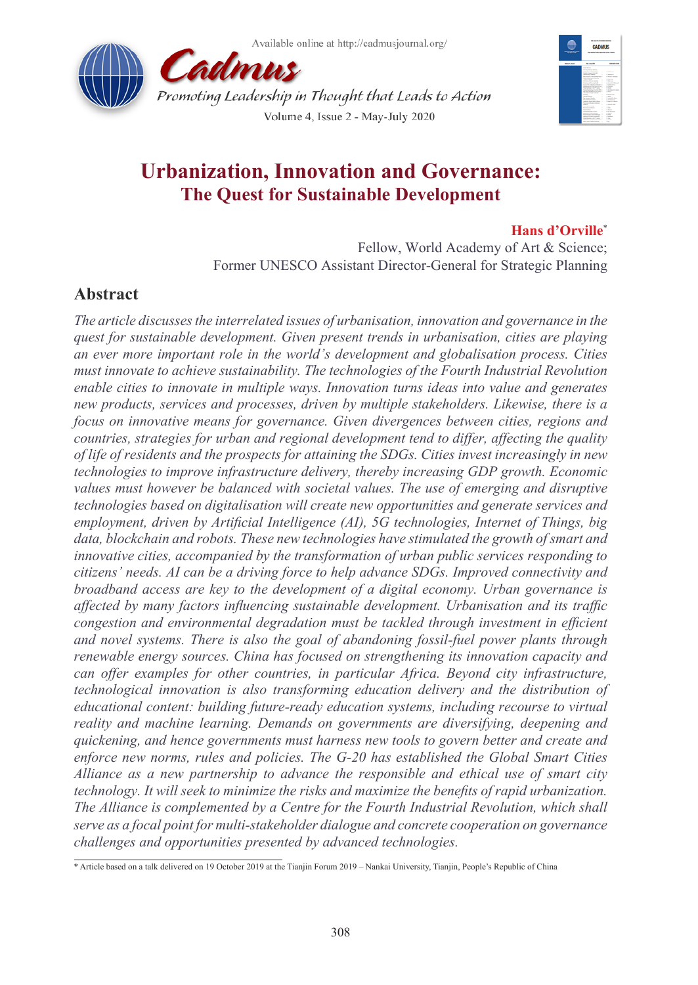



# **Urbanization, Innovation and Governance: The Quest for Sustainable Development**

### **Hans d'Orville**\*

Fellow, World Academy of Art & Science; Former UNESCO Assistant Director-General for Strategic Planning

## **Abstract**

*The article discusses the interrelated issues of urbanisation, innovation and governance in the quest for sustainable development. Given present trends in urbanisation, cities are playing an ever more important role in the world's development and globalisation process. Cities must innovate to achieve sustainability. The technologies of the Fourth Industrial Revolution enable cities to innovate in multiple ways. Innovation turns ideas into value and generates new products, services and processes, driven by multiple stakeholders. Likewise, there is a focus on innovative means for governance. Given divergences between cities, regions and countries, strategies for urban and regional development tend to differ, affecting the quality of life of residents and the prospects for attaining the SDGs. Cities invest increasingly in new technologies to improve infrastructure delivery, thereby increasing GDP growth. Economic values must however be balanced with societal values. The use of emerging and disruptive technologies based on digitalisation will create new opportunities and generate services and employment, driven by Artificial Intelligence (AI), 5G technologies, Internet of Things, big*  data, blockchain and robots. These new technologies have stimulated the growth of smart and *innovative cities, accompanied by the transformation of urban public services responding to citizens' needs. AI can be a driving force to help advance SDGs. Improved connectivity and broadband access are key to the development of a digital economy. Urban governance is affected by many factors influencing sustainable development. Urbanisation and its traffic congestion and environmental degradation must be tackled through investment in efficient and novel systems. There is also the goal of abandoning fossil-fuel power plants through renewable energy sources. China has focused on strengthening its innovation capacity and can offer examples for other countries, in particular Africa. Beyond city infrastructure, technological innovation is also transforming education delivery and the distribution of educational content: building future-ready education systems, including recourse to virtual reality and machine learning. Demands on governments are diversifying, deepening and quickening, and hence governments must harness new tools to govern better and create and enforce new norms, rules and policies. The G-20 has established the Global Smart Cities Alliance as a new partnership to advance the responsible and ethical use of smart city technology. It will seek to minimize the risks and maximize the benefits of rapid urbanization. The Alliance is complemented by a Centre for the Fourth Industrial Revolution, which shall serve as a focal point for multi-stakeholder dialogue and concrete cooperation on governance challenges and opportunities presented by advanced technologies.*

<sup>\*</sup> Article based on a talk delivered on 19 October 2019 at the Tianjin Forum 2019 – Nankai University, Tianjin, People's Republic of China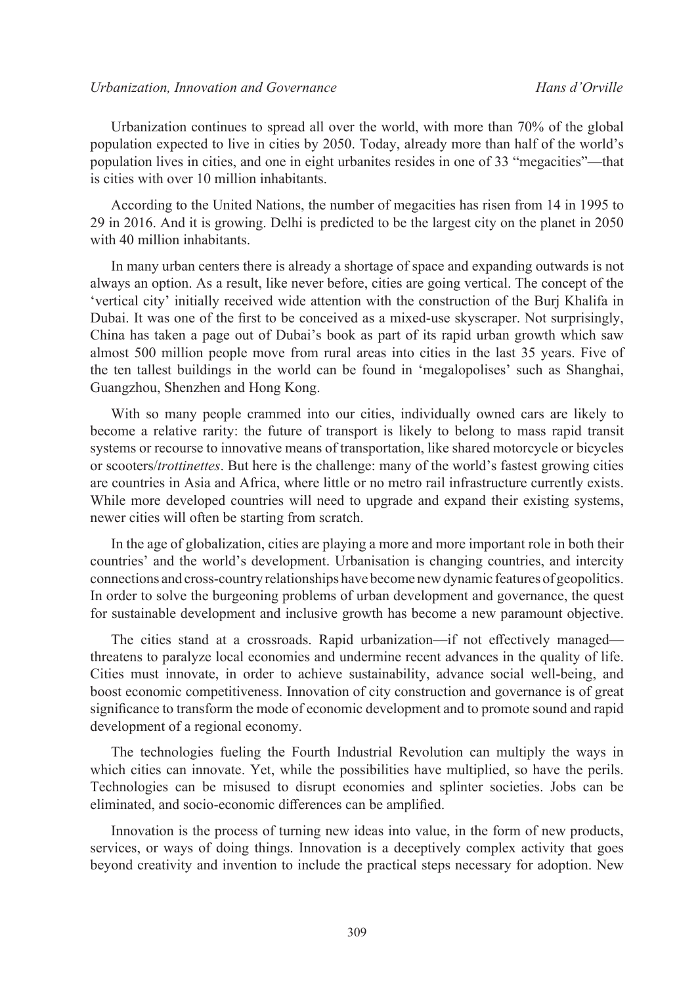Urbanization continues to spread all over the world, with more than 70% of the global population expected to live in cities by 2050. Today, already more than half of the world's population lives in cities, and one in eight urbanites resides in one of 33 "megacities"—that is cities with over 10 million inhabitants.

According to the United Nations, the number of megacities has risen from 14 in 1995 to 29 in 2016. And it is growing. Delhi is predicted to be the largest city on the planet in 2050 with 40 million inhabitants.

In many urban centers there is already a shortage of space and expanding outwards is not always an option. As a result, like never before, cities are going vertical. The concept of the 'vertical city' initially received wide attention with the construction of the Burj Khalifa in Dubai. It was one of the first to be conceived as a mixed-use skyscraper. Not surprisingly, China has taken a page out of Dubai's book as part of its rapid urban growth which saw almost 500 million people move from rural areas into cities in the last 35 years. Five of the ten tallest buildings in the world can be found in 'megalopolises' such as Shanghai, Guangzhou, Shenzhen and Hong Kong.

With so many people crammed into our cities, individually owned cars are likely to become a relative rarity: the future of transport is likely to belong to mass rapid transit systems or recourse to innovative means of transportation, like shared motorcycle or bicycles or scooters/*trottinettes*. But here is the challenge: many of the world's fastest growing cities are countries in Asia and Africa, where little or no metro rail infrastructure currently exists. While more developed countries will need to upgrade and expand their existing systems, newer cities will often be starting from scratch.

In the age of globalization, cities are playing a more and more important role in both their countries' and the world's development. Urbanisation is changing countries, and intercity connections and cross-country relationships have become new dynamic features of geopolitics. In order to solve the burgeoning problems of urban development and governance, the quest for sustainable development and inclusive growth has become a new paramount objective.

The cities stand at a crossroads. Rapid urbanization—if not effectively managed threatens to paralyze local economies and undermine recent advances in the quality of life. Cities must innovate, in order to achieve sustainability, advance social well-being, and boost economic competitiveness. Innovation of city construction and governance is of great significance to transform the mode of economic development and to promote sound and rapid development of a regional economy.

The technologies fueling the Fourth Industrial Revolution can multiply the ways in which cities can innovate. Yet, while the possibilities have multiplied, so have the perils. Technologies can be misused to disrupt economies and splinter societies. Jobs can be eliminated, and socio-economic differences can be amplified.

Innovation is the process of turning new ideas into value, in the form of new products, services, or ways of doing things. Innovation is a deceptively complex activity that goes beyond creativity and invention to include the practical steps necessary for adoption. New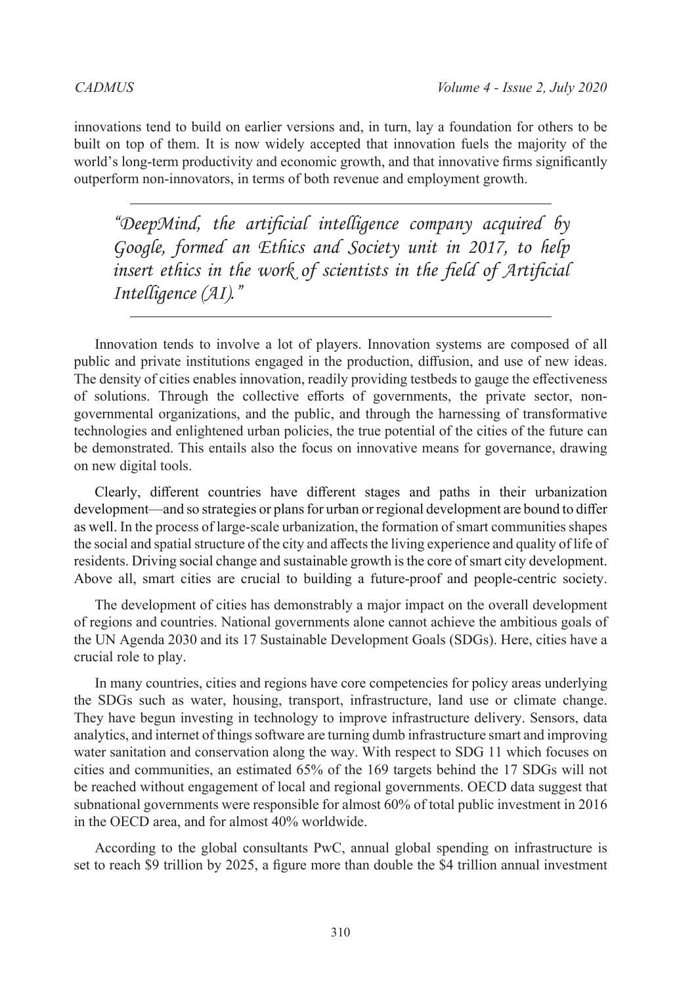innovations tend to build on earlier versions and, in turn, lay a foundation for others to be built on top of them. It is now widely accepted that innovation fuels the majority of the world's long-term productivity and economic growth, and that innovative firms significantly outperform non-innovators, in terms of both revenue and employment growth.

*"DeepMind, the artificial intelligence company acquired by Google, formed an Ethics and Society unit in 2017, to help insert ethics in the work of scientists in the field of Artificial Intelligence (AI)."*

Innovation tends to involve a lot of players. Innovation systems are composed of all public and private institutions engaged in the production, diffusion, and use of new ideas. The density of cities enables innovation, readily providing testbeds to gauge the effectiveness of solutions. Through the collective efforts of governments, the private sector, nongovernmental organizations, and the public, and through the harnessing of transformative technologies and enlightened urban policies, the true potential of the cities of the future can be demonstrated. This entails also the focus on innovative means for governance, drawing on new digital tools.

Clearly, different countries have different stages and paths in their urbanization development—and so strategies or plans for urban or regional development are bound to differ as well. In the process of large-scale urbanization, the formation of smart communities shapes the social and spatial structure of the city and affects the living experience and quality of life of residents. Driving social change and sustainable growth is the core of smart city development. Above all, smart cities are crucial to building a future-proof and people-centric society.

The development of cities has demonstrably a major impact on the overall development of regions and countries. National governments alone cannot achieve the ambitious goals of the UN Agenda 2030 and its 17 Sustainable Development Goals (SDGs). Here, cities have a crucial role to play.

In many countries, cities and regions have core competencies for policy areas underlying the SDGs such as water, housing, transport, infrastructure, land use or climate change. They have begun investing in technology to improve infrastructure delivery. Sensors, data analytics, and internet of things software are turning dumb infrastructure smart and improving water sanitation and conservation along the way. With respect to SDG 11 which focuses on cities and communities, an estimated 65% of the 169 targets behind the 17 SDGs will not be reached without engagement of local and regional governments. OECD data suggest that subnational governments were responsible for almost 60% of total public investment in 2016 in the OECD area, and for almost 40% worldwide.

According to the global consultants PwC, annual global spending on infrastructure is set to reach \$9 trillion by 2025, a figure more than double the \$4 trillion annual investment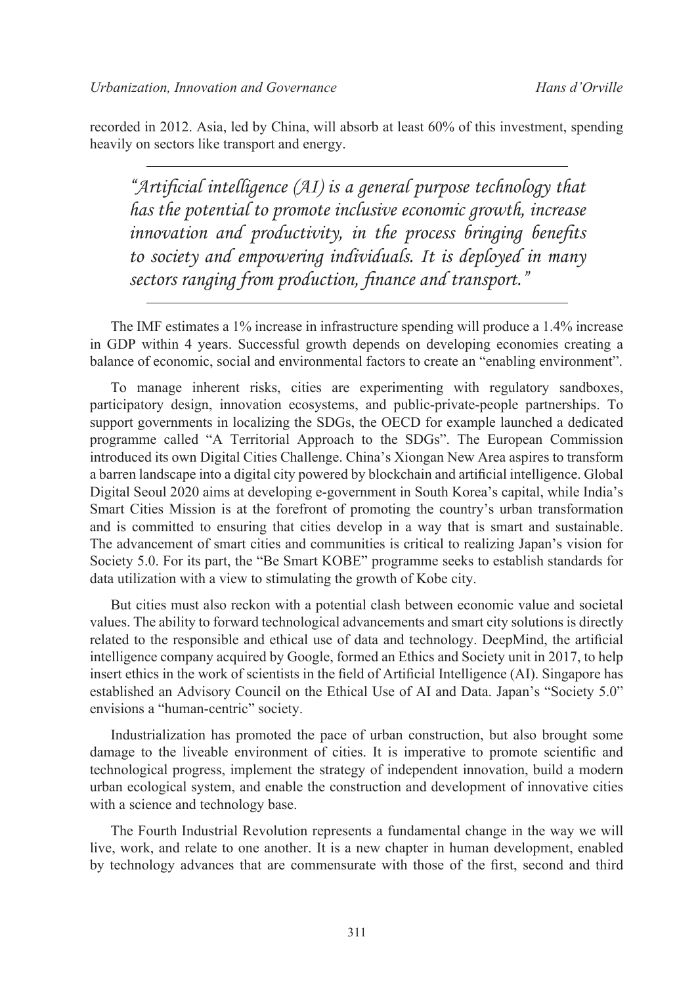recorded in 2012. Asia, led by China, will absorb at least 60% of this investment, spending heavily on sectors like transport and energy.

*"Artificial intelligence (AI) is a general purpose technology that has the potential to promote inclusive economic growth, increase innovation and productivity, in the process bringing benefits to society and empowering individuals. It is deployed in many sectors ranging from production, finance and transport."*

The IMF estimates a 1% increase in infrastructure spending will produce a 1.4% increase in GDP within 4 years. Successful growth depends on developing economies creating a balance of economic, social and environmental factors to create an "enabling environment".

To manage inherent risks, cities are experimenting with regulatory sandboxes, participatory design, innovation ecosystems, and public-private-people partnerships. To support governments in localizing the SDGs, the OECD for example launched a dedicated programme called "A Territorial Approach to the SDGs". The European Commission introduced its own Digital Cities Challenge. China's Xiongan New Area aspires to transform a barren landscape into a digital city powered by blockchain and artificial intelligence. Global Digital Seoul 2020 aims at developing e-government in South Korea's capital, while India's Smart Cities Mission is at the forefront of promoting the country's urban transformation and is committed to ensuring that cities develop in a way that is smart and sustainable. The advancement of smart cities and communities is critical to realizing Japan's vision for Society 5.0. For its part, the "Be Smart KOBE" programme seeks to establish standards for data utilization with a view to stimulating the growth of Kobe city.

But cities must also reckon with a potential clash between economic value and societal values. The ability to forward technological advancements and smart city solutions is directly related to the responsible and ethical use of data and technology. DeepMind, the artificial intelligence company acquired by Google, formed an Ethics and Society unit in 2017, to help insert ethics in the work of scientists in the field of Artificial Intelligence (AI). Singapore has established an Advisory Council on the Ethical Use of AI and Data. Japan's "Society 5.0" envisions a "human-centric" society.

Industrialization has promoted the pace of urban construction, but also brought some damage to the liveable environment of cities. It is imperative to promote scientific and technological progress, implement the strategy of independent innovation, build a modern urban ecological system, and enable the construction and development of innovative cities with a science and technology base.

The Fourth Industrial Revolution represents a fundamental change in the way we will live, work, and relate to one another. It is a new chapter in human development, enabled by technology advances that are commensurate with those of the first, second and third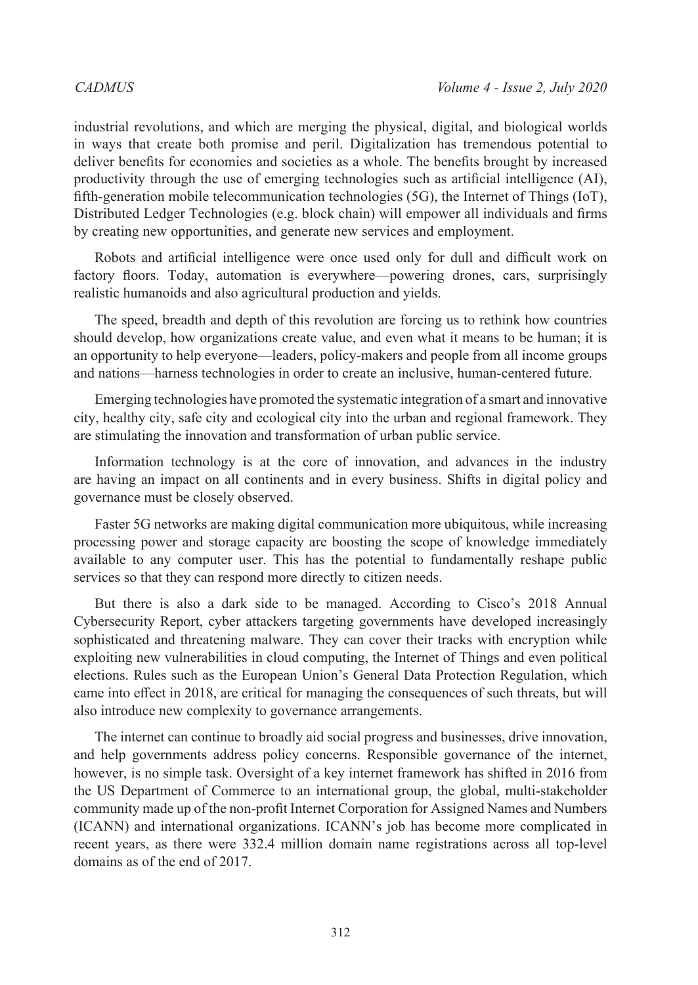industrial revolutions, and which are merging the physical, digital, and biological worlds in ways that create both promise and peril. Digitalization has tremendous potential to deliver benefits for economies and societies as a whole. The benefits brought by increased productivity through the use of emerging technologies such as artificial intelligence (AI), fifth-generation mobile telecommunication technologies (5G), the Internet of Things (IoT), Distributed Ledger Technologies (e.g. block chain) will empower all individuals and firms by creating new opportunities, and generate new services and employment.

Robots and artificial intelligence were once used only for dull and difficult work on factory floors. Today, automation is everywhere—powering drones, cars, surprisingly realistic humanoids and also agricultural production and yields.

The speed, breadth and depth of this revolution are forcing us to rethink how countries should develop, how organizations create value, and even what it means to be human; it is an opportunity to help everyone—leaders, policy-makers and people from all income groups and nations—harness technologies in order to create an inclusive, human-centered future.

Emerging technologies have promoted the systematic integration of a smart and innovative city, healthy city, safe city and ecological city into the urban and regional framework. They are stimulating the innovation and transformation of urban public service.

Information technology is at the core of innovation, and advances in the industry are having an impact on all continents and in every business. Shifts in digital policy and governance must be closely observed.

Faster 5G networks are making digital communication more ubiquitous, while increasing processing power and storage capacity are boosting the scope of knowledge immediately available to any computer user. This has the potential to fundamentally reshape public services so that they can respond more directly to citizen needs.

But there is also a dark side to be managed. According to Cisco's 2018 Annual Cybersecurity Report, cyber attackers targeting governments have developed increasingly sophisticated and threatening malware. They can cover their tracks with encryption while exploiting new vulnerabilities in cloud computing, the Internet of Things and even political elections. Rules such as the European Union's General Data Protection Regulation, which came into effect in 2018, are critical for managing the consequences of such threats, but will also introduce new complexity to governance arrangements.

The internet can continue to broadly aid social progress and businesses, drive innovation, and help governments address policy concerns. Responsible governance of the internet, however, is no simple task. Oversight of a key internet framework has shifted in 2016 from the US Department of Commerce to an international group, the global, multi-stakeholder community made up of the non-profit Internet Corporation for Assigned Names and Numbers (ICANN) and international organizations. ICANN's job has become more complicated in recent years, as there were 332.4 million domain name registrations across all top-level domains as of the end of 2017.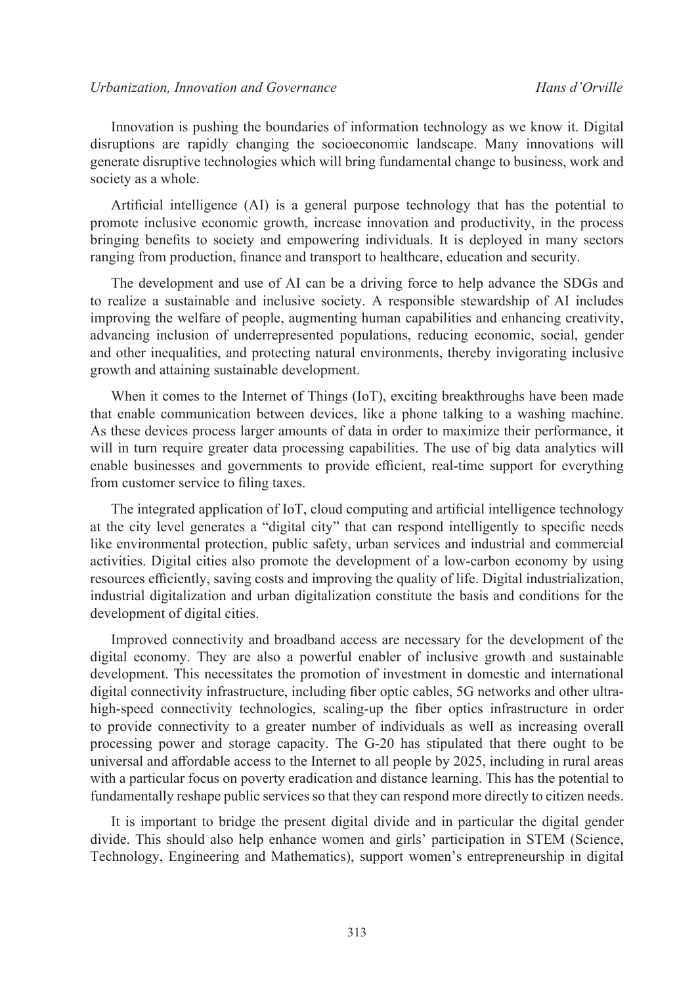Innovation is pushing the boundaries of information technology as we know it. Digital disruptions are rapidly changing the socioeconomic landscape. Many innovations will generate disruptive technologies which will bring fundamental change to business, work and society as a whole.

Artificial intelligence (AI) is a general purpose technology that has the potential to promote inclusive economic growth, increase innovation and productivity, in the process bringing benefits to society and empowering individuals. It is deployed in many sectors ranging from production, finance and transport to healthcare, education and security.

The development and use of AI can be a driving force to help advance the SDGs and to realize a sustainable and inclusive society. A responsible stewardship of AI includes improving the welfare of people, augmenting human capabilities and enhancing creativity, advancing inclusion of underrepresented populations, reducing economic, social, gender and other inequalities, and protecting natural environments, thereby invigorating inclusive growth and attaining sustainable development.

When it comes to the Internet of Things (IoT), exciting breakthroughs have been made that enable communication between devices, like a phone talking to a washing machine. As these devices process larger amounts of data in order to maximize their performance, it will in turn require greater data processing capabilities. The use of big data analytics will enable businesses and governments to provide efficient, real-time support for everything from customer service to filing taxes.

The integrated application of IoT, cloud computing and artificial intelligence technology at the city level generates a "digital city" that can respond intelligently to specific needs like environmental protection, public safety, urban services and industrial and commercial activities. Digital cities also promote the development of a low-carbon economy by using resources efficiently, saving costs and improving the quality of life. Digital industrialization, industrial digitalization and urban digitalization constitute the basis and conditions for the development of digital cities.

Improved connectivity and broadband access are necessary for the development of the digital economy. They are also a powerful enabler of inclusive growth and sustainable development. This necessitates the promotion of investment in domestic and international digital connectivity infrastructure, including fiber optic cables, 5G networks and other ultrahigh-speed connectivity technologies, scaling-up the fiber optics infrastructure in order to provide connectivity to a greater number of individuals as well as increasing overall processing power and storage capacity. The G-20 has stipulated that there ought to be universal and affordable access to the Internet to all people by 2025, including in rural areas with a particular focus on poverty eradication and distance learning. This has the potential to fundamentally reshape public services so that they can respond more directly to citizen needs.

It is important to bridge the present digital divide and in particular the digital gender divide. This should also help enhance women and girls' participation in STEM (Science, Technology, Engineering and Mathematics), support women's entrepreneurship in digital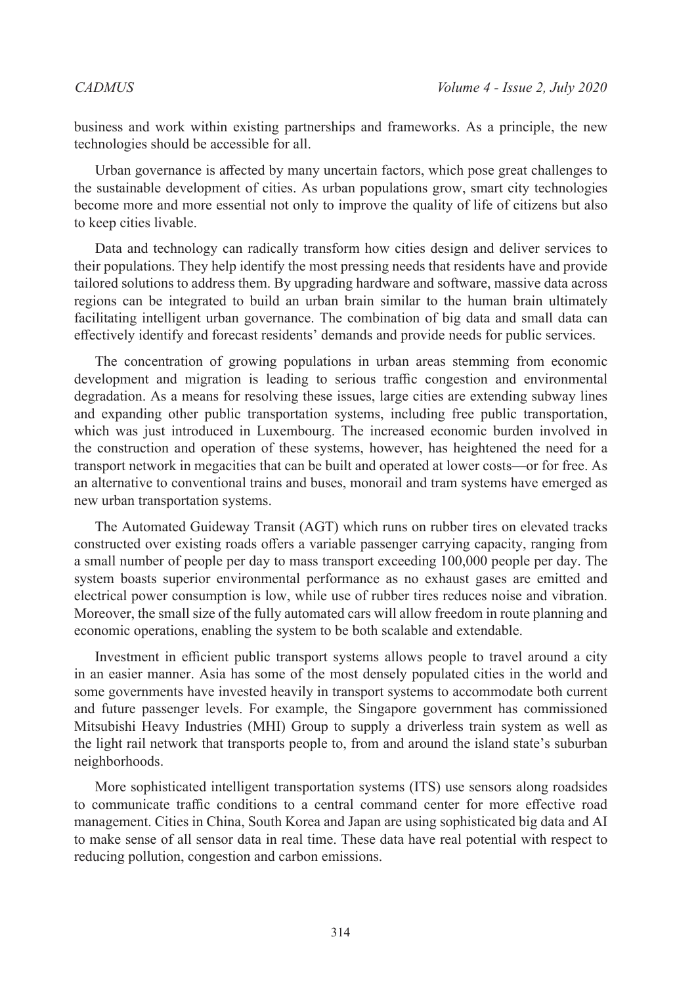business and work within existing partnerships and frameworks. As a principle, the new technologies should be accessible for all.

Urban governance is affected by many uncertain factors, which pose great challenges to the sustainable development of cities. As urban populations grow, smart city technologies become more and more essential not only to improve the quality of life of citizens but also to keep cities livable.

Data and technology can radically transform how cities design and deliver services to their populations. They help identify the most pressing needs that residents have and provide tailored solutions to address them. By upgrading hardware and software, massive data across regions can be integrated to build an urban brain similar to the human brain ultimately facilitating intelligent urban governance. The combination of big data and small data can effectively identify and forecast residents' demands and provide needs for public services.

The concentration of growing populations in urban areas stemming from economic development and migration is leading to serious traffic congestion and environmental degradation. As a means for resolving these issues, large cities are extending subway lines and expanding other public transportation systems, including free public transportation, which was just introduced in Luxembourg. The increased economic burden involved in the construction and operation of these systems, however, has heightened the need for a transport network in megacities that can be built and operated at lower costs—or for free. As an alternative to conventional trains and buses, monorail and tram systems have emerged as new urban transportation systems.

The Automated Guideway Transit (AGT) which runs on rubber tires on elevated tracks constructed over existing roads offers a variable passenger carrying capacity, ranging from a small number of people per day to mass transport exceeding 100,000 people per day. The system boasts superior environmental performance as no exhaust gases are emitted and electrical power consumption is low, while use of rubber tires reduces noise and vibration. Moreover, the small size of the fully automated cars will allow freedom in route planning and economic operations, enabling the system to be both scalable and extendable.

Investment in efficient public transport systems allows people to travel around a city in an easier manner. Asia has some of the most densely populated cities in the world and some governments have invested heavily in transport systems to accommodate both current and future passenger levels. For example, the Singapore government has commissioned Mitsubishi Heavy Industries (MHI) Group to supply a driverless train system as well as the light rail network that transports people to, from and around the island state's suburban neighborhoods.

More sophisticated intelligent transportation systems (ITS) use sensors along roadsides to communicate traffic conditions to a central command center for more effective road management. Cities in China, South Korea and Japan are using sophisticated big data and AI to make sense of all sensor data in real time. These data have real potential with respect to reducing pollution, congestion and carbon emissions.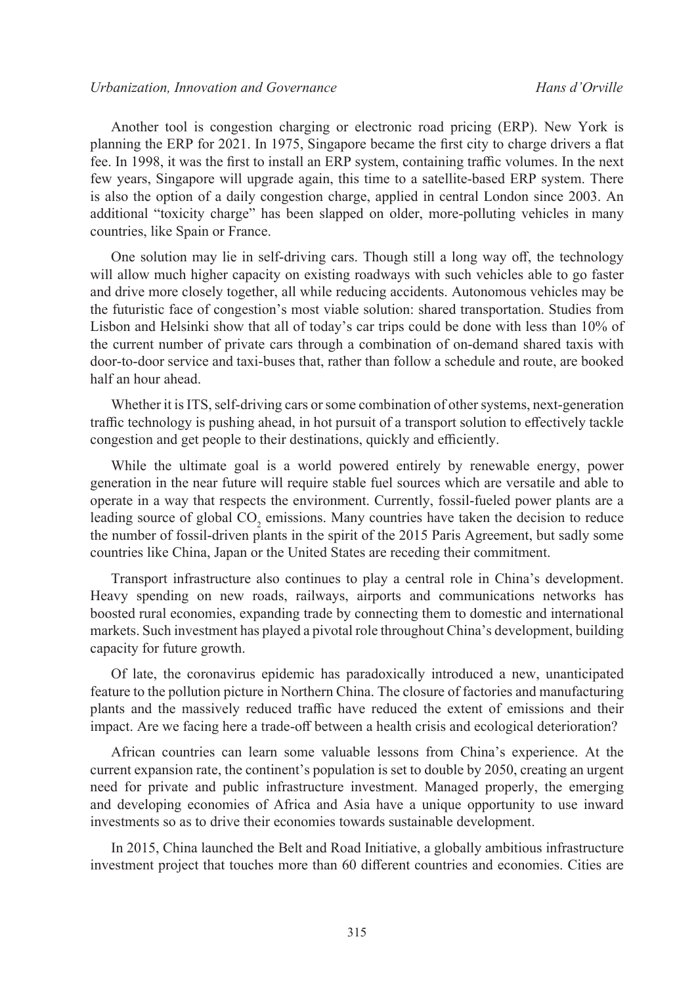Another tool is congestion charging or electronic road pricing (ERP). New York is planning the ERP for 2021. In 1975, Singapore became the first city to charge drivers a flat fee. In 1998, it was the first to install an ERP system, containing traffic volumes. In the next few years, Singapore will upgrade again, this time to a satellite-based ERP system. There is also the option of a daily congestion charge, applied in central London since 2003. An additional "toxicity charge" has been slapped on older, more-polluting vehicles in many countries, like Spain or France.

One solution may lie in self-driving cars. Though still a long way off, the technology will allow much higher capacity on existing roadways with such vehicles able to go faster and drive more closely together, all while reducing accidents. Autonomous vehicles may be the futuristic face of congestion's most viable solution: shared transportation. Studies from Lisbon and Helsinki show that all of today's car trips could be done with less than 10% of the current number of private cars through a combination of on-demand shared taxis with door-to-door service and taxi-buses that, rather than follow a schedule and route, are booked half an hour ahead.

Whether it is ITS, self-driving cars or some combination of other systems, next-generation traffic technology is pushing ahead, in hot pursuit of a transport solution to effectively tackle congestion and get people to their destinations, quickly and efficiently.

While the ultimate goal is a world powered entirely by renewable energy, power generation in the near future will require stable fuel sources which are versatile and able to operate in a way that respects the environment. Currently, fossil-fueled power plants are a leading source of global  $CO_2$  emissions. Many countries have taken the decision to reduce the number of fossil-driven plants in the spirit of the 2015 Paris Agreement, but sadly some countries like China, Japan or the United States are receding their commitment.

Transport infrastructure also continues to play a central role in China's development. Heavy spending on new roads, railways, airports and communications networks has boosted rural economies, expanding trade by connecting them to domestic and international markets. Such investment has played a pivotal role throughout China's development, building capacity for future growth.

Of late, the coronavirus epidemic has paradoxically introduced a new, unanticipated feature to the pollution picture in Northern China. The closure of factories and manufacturing plants and the massively reduced traffic have reduced the extent of emissions and their impact. Are we facing here a trade-off between a health crisis and ecological deterioration?

African countries can learn some valuable lessons from China's experience. At the current expansion rate, the continent's population is set to double by 2050, creating an urgent need for private and public infrastructure investment. Managed properly, the emerging and developing economies of Africa and Asia have a unique opportunity to use inward investments so as to drive their economies towards sustainable development.

In 2015, China launched the Belt and Road Initiative, a globally ambitious infrastructure investment project that touches more than 60 different countries and economies. Cities are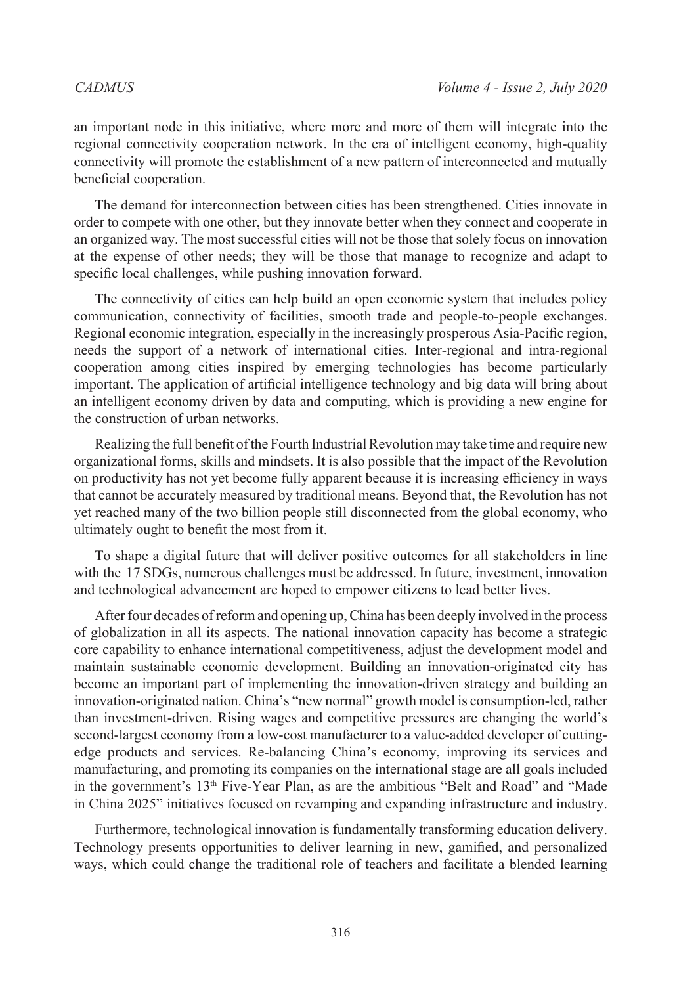an important node in this initiative, where more and more of them will integrate into the regional connectivity cooperation network. In the era of intelligent economy, high-quality connectivity will promote the establishment of a new pattern of interconnected and mutually beneficial cooperation.

The demand for interconnection between cities has been strengthened. Cities innovate in order to compete with one other, but they innovate better when they connect and cooperate in an organized way. The most successful cities will not be those that solely focus on innovation at the expense of other needs; they will be those that manage to recognize and adapt to specific local challenges, while pushing innovation forward.

The connectivity of cities can help build an open economic system that includes policy communication, connectivity of facilities, smooth trade and people-to-people exchanges. Regional economic integration, especially in the increasingly prosperous Asia-Pacific region, needs the support of a network of international cities. Inter-regional and intra-regional cooperation among cities inspired by emerging technologies has become particularly important. The application of artificial intelligence technology and big data will bring about an intelligent economy driven by data and computing, which is providing a new engine for the construction of urban networks.

Realizing the full benefit of the Fourth Industrial Revolution may take time and require new organizational forms, skills and mindsets. It is also possible that the impact of the Revolution on productivity has not yet become fully apparent because it is increasing efficiency in ways that cannot be accurately measured by traditional means. Beyond that, the Revolution has not yet reached many of the two billion people still disconnected from the global economy, who ultimately ought to benefit the most from it.

To shape a digital future that will deliver positive outcomes for all stakeholders in line with the 17 SDGs, numerous challenges must be addressed. In future, investment, innovation and technological advancement are hoped to empower citizens to lead better lives.

After four decades of reform and opening up, China has been deeply involved in the process of globalization in all its aspects. The national innovation capacity has become a strategic core capability to enhance international competitiveness, adjust the development model and maintain sustainable economic development. Building an innovation-originated city has become an important part of implementing the innovation-driven strategy and building an innovation-originated nation. China's "new normal" growth model is consumption-led, rather than investment-driven. Rising wages and competitive pressures are changing the world's second-largest economy from a low-cost manufacturer to a value-added developer of cuttingedge products and services. Re-balancing China's economy, improving its services and manufacturing, and promoting its companies on the international stage are all goals included in the government's  $13<sup>th</sup>$  Five-Year Plan, as are the ambitious "Belt and Road" and "Made in China 2025" initiatives focused on revamping and expanding infrastructure and industry.

Furthermore, technological innovation is fundamentally transforming education delivery. Technology presents opportunities to deliver learning in new, gamified, and personalized ways, which could change the traditional role of teachers and facilitate a blended learning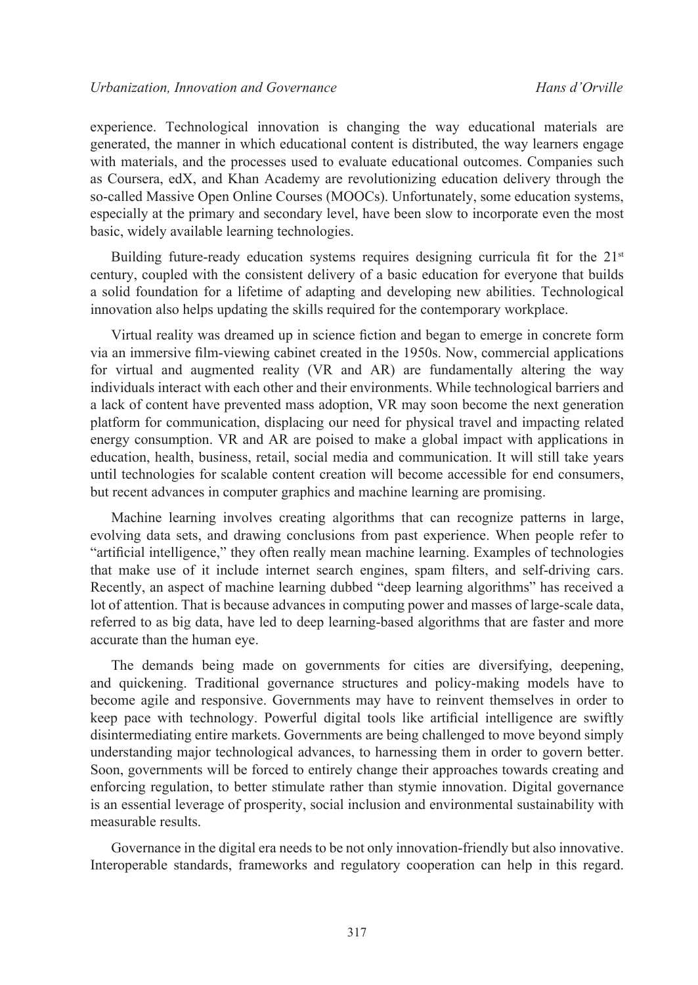experience. Technological innovation is changing the way educational materials are generated, the manner in which educational content is distributed, the way learners engage with materials, and the processes used to evaluate educational outcomes. Companies such as Coursera, edX, and Khan Academy are revolutionizing education delivery through the so-called Massive Open Online Courses (MOOCs). Unfortunately, some education systems, especially at the primary and secondary level, have been slow to incorporate even the most basic, widely available learning technologies.

Building future-ready education systems requires designing curricula fit for the  $21<sup>st</sup>$ century, coupled with the consistent delivery of a basic education for everyone that builds a solid foundation for a lifetime of adapting and developing new abilities. Technological innovation also helps updating the skills required for the contemporary workplace.

Virtual reality was dreamed up in science fiction and began to emerge in concrete form via an immersive film-viewing cabinet created in the 1950s. Now, commercial applications for virtual and augmented reality (VR and AR) are fundamentally altering the way individuals interact with each other and their environments. While technological barriers and a lack of content have prevented mass adoption, VR may soon become the next generation platform for communication, displacing our need for physical travel and impacting related energy consumption. VR and AR are poised to make a global impact with applications in education, health, business, retail, social media and communication. It will still take years until technologies for scalable content creation will become accessible for end consumers, but recent advances in computer graphics and machine learning are promising.

Machine learning involves creating algorithms that can recognize patterns in large, evolving data sets, and drawing conclusions from past experience. When people refer to "artificial intelligence," they often really mean machine learning. Examples of technologies that make use of it include internet search engines, spam filters, and self-driving cars. Recently, an aspect of machine learning dubbed "deep learning algorithms" has received a lot of attention. That is because advances in computing power and masses of large-scale data, referred to as big data, have led to deep learning-based algorithms that are faster and more accurate than the human eye.

The demands being made on governments for cities are diversifying, deepening, and quickening. Traditional governance structures and policy-making models have to become agile and responsive. Governments may have to reinvent themselves in order to keep pace with technology. Powerful digital tools like artificial intelligence are swiftly disintermediating entire markets. Governments are being challenged to move beyond simply understanding major technological advances, to harnessing them in order to govern better. Soon, governments will be forced to entirely change their approaches towards creating and enforcing regulation, to better stimulate rather than stymie innovation. Digital governance is an essential leverage of prosperity, social inclusion and environmental sustainability with measurable results.

Governance in the digital era needs to be not only innovation-friendly but also innovative. Interoperable standards, frameworks and regulatory cooperation can help in this regard.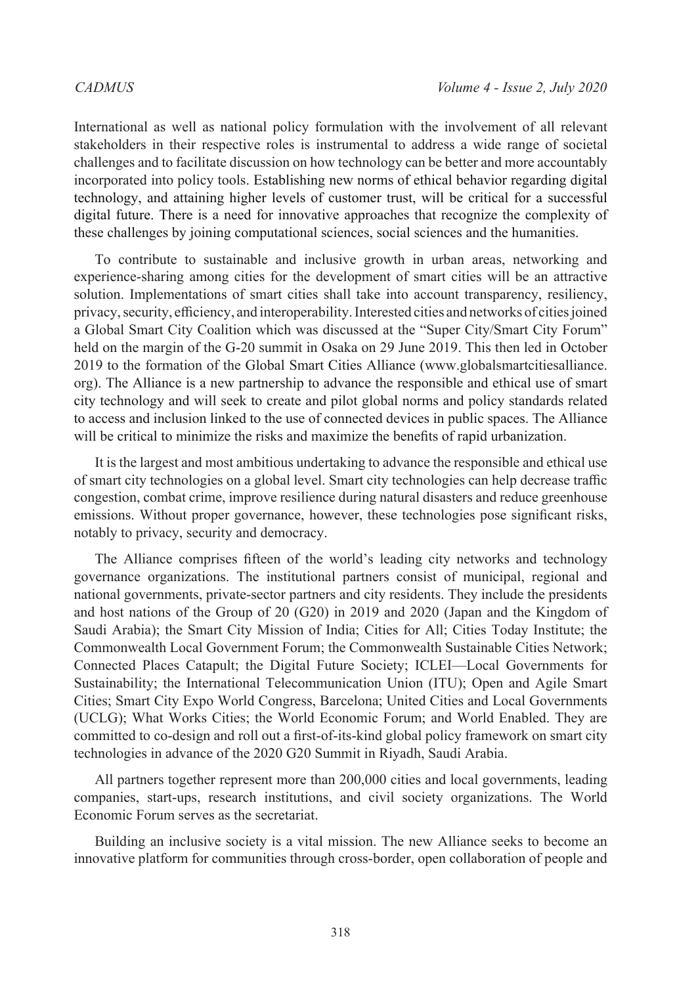International as well as national policy formulation with the involvement of all relevant stakeholders in their respective roles is instrumental to address a wide range of societal challenges and to facilitate discussion on how technology can be better and more accountably incorporated into policy tools. Establishing new norms of ethical behavior regarding digital technology, and attaining higher levels of customer trust, will be critical for a successful digital future. There is a need for innovative approaches that recognize the complexity of these challenges by joining computational sciences, social sciences and the humanities.

To contribute to sustainable and inclusive growth in urban areas, networking and experience-sharing among cities for the development of smart cities will be an attractive solution. Implementations of smart cities shall take into account transparency, resiliency, privacy, security, efficiency, and interoperability. Interested cities and networks of cities joined a Global Smart City Coalition which was discussed at the "Super City/Smart City Forum" held on the margin of the G-20 summit in Osaka on 29 June 2019. This then led in October 2019 to the formation of the Global Smart Cities Alliance [\(www.globalsmartcitiesalliance.](http://www.globalsmartcitiesalliance.org) [org](http://www.globalsmartcitiesalliance.org)). The Alliance is a new partnership to advance the responsible and ethical use of smart city technology and will seek to create and pilot global norms and policy standards related to access and inclusion linked to the use of connected devices in public spaces. The Alliance will be critical to minimize the risks and maximize the benefits of rapid urbanization.

It is the largest and most ambitious undertaking to advance the responsible and ethical use of smart city technologies on a global level. Smart city technologies can help decrease traffic congestion, combat crime, improve resilience during natural disasters and reduce greenhouse emissions. Without proper governance, however, these technologies pose significant risks, notably to privacy, security and democracy.

The Alliance comprises fifteen of the world's leading city networks and technology governance organizations. The institutional partners consist of municipal, regional and national governments, private-sector partners and city residents. They include the presidents and host nations of the Group of 20 (G20) in 2019 and 2020 (Japan and the Kingdom of Saudi Arabia); the Smart City Mission of India; Cities for All; Cities Today Institute; the Commonwealth Local Government Forum; the Commonwealth Sustainable Cities Network; Connected Places Catapult; the Digital Future Society; ICLEI—Local Governments for Sustainability; the International Telecommunication Union (ITU); Open and Agile Smart Cities; Smart City Expo World Congress, Barcelona; United Cities and Local Governments (UCLG); What Works Cities; the World Economic Forum; and World Enabled. They are committed to co-design and roll out a first-of-its-kind global policy framework on smart city technologies in advance of the 2020 G20 Summit in Riyadh, Saudi Arabia.

All partners together represent more than 200,000 cities and local governments, leading companies, start-ups, research institutions, and civil society organizations. The World Economic Forum serves as the secretariat.

Building an inclusive society is a vital mission. The new Alliance seeks to become an innovative platform for communities through cross-border, open collaboration of people and